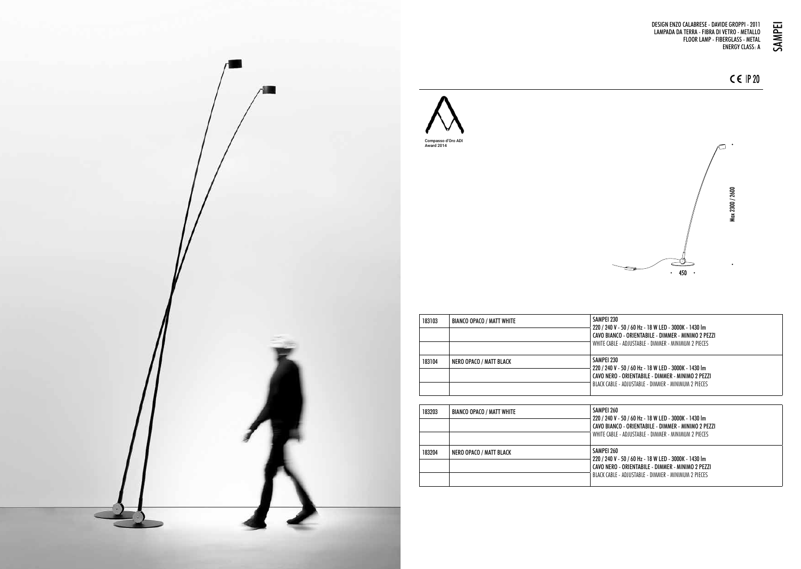





| 183103 | BIANCO OPACO / MATT WHITE | SAMPEI 230<br>220 / 240 V - 50 / 60 Hz - 18 W LED - 3000K - 1430 lm<br>CAVO BIANCO - ORIENTABILE - DIMMER - MINIMO 2 PEZZI<br>WHITE CABLE - ADJUSTABLE - DIMMER - MINIMUM 2 PIECES  |
|--------|---------------------------|-------------------------------------------------------------------------------------------------------------------------------------------------------------------------------------|
| 183104 | NERO OPACO / MATT BLACK   | SAMPFI 230<br>220 / 240 V - 50 / 60 Hz - 18 W LED - 3000K - 1430 lm<br>CAVO NERO - ORIENTARII E - DIMMER - MINIMO 2 PE771<br>RIACK CARIF - ADIIISTARIF - DIMMER - MINIMIIM 2 PIECES |

| 183203 | BIANCO OPACO / MATT WHITE | SAMPEI 260<br>220 / 240 V - 50 / 60 Hz - 18 W LED - 3000K - 1430 lm<br>CAVO BIANCO - ORIENTABILE - DIMMER - MINIMO 2 PEZZI<br>WHITE CABLE - ADJUSTABLE - DIMMER - MINIMUM 2 PIECES |
|--------|---------------------------|------------------------------------------------------------------------------------------------------------------------------------------------------------------------------------|
| 183204 | NERO OPACO / MATT BLACK   | SAMPEI 260<br>220 / 240 V - 50 / 60 Hz - 18 W LED - 3000K - 1430 Im<br>CAVO NERO - ORIENTABILE - DIMMER - MINIMO 2 PEZZI<br>BLACK CABLE - ADJUSTABLE - DIMMER - MINIMUM 2 PIECES   |